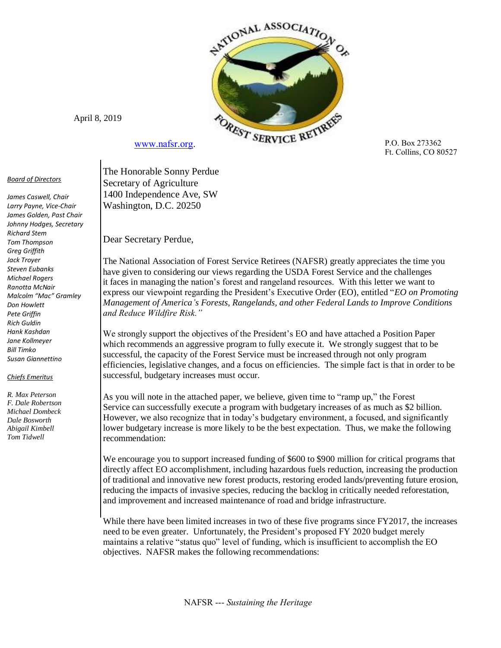

April 8, 2019

[www.nafsr.org.](http://www.nafsr.org/)

## *Board of Directors*

*James Caswell, Chair Larry Payne, Vice-Chair James Golden, Past Chair Johnny Hodges, Secretary Richard Stem Tom Thompson Greg Griffith Jack Troyer Steven Eubanks Michael Rogers Ranotta McNair Malcolm "Mac" Gramley Don Howlett Pete Griffin Rich Guldin Hank Kashdan Jane Kollmeyer Bill Timko Susan Giannettino*

## *Chiefs Emeritus*

*R. Max Peterson F. Dale Robertson Michael Dombeck Dale Bosworth Abigail Kimbell Tom Tidwell* 

P.O. Box 273362 Ft. Collins, CO 80527

 The Honorable Sonny Perdue Secretary of Agriculture 1400 Independence Ave, SW Washington, D.C. 20250

Dear Secretary Perdue,

 The National Association of Forest Service Retirees (NAFSR) greatly appreciates the time you have given to considering our views regarding the USDA Forest Service and the challenges it faces in managing the nation's forest and rangeland resources. With this letter we want to express our viewpoint regarding the President's Executive Order (EO), entitled "*EO on Promoting Management of America's Forests, Rangelands, and other Federal Lands to Improve Conditions and Reduce Wildfire Risk."* 

 We strongly support the objectives of the President's EO and have attached a Position Paper which recommends an aggressive program to fully execute it. We strongly suggest that to be successful, the capacity of the Forest Service must be increased through not only program efficiencies, legislative changes, and a focus on efficiencies. The simple fact is that in order to be successful, budgetary increases must occur.

As you will note in the attached paper, we believe, given time to "ramp up," the Forest Service can successfully execute a program with budgetary increases of as much as \$2 billion. However, we also recognize that in today's budgetary environment, a focused, and significantly lower budgetary increase is more likely to be the best expectation. Thus, we make the following recommendation:

We encourage you to support increased funding of \$600 to \$900 million for critical programs that directly affect EO accomplishment, including hazardous fuels reduction, increasing the production of traditional and innovative new forest products, restoring eroded lands/preventing future erosion, reducing the impacts of invasive species, reducing the backlog in critically needed reforestation, and improvement and increased maintenance of road and bridge infrastructure.

While there have been limited increases in two of these five programs since FY2017, the increases need to be even greater. Unfortunately, the President's proposed FY 2020 budget merely maintains a relative "status quo" level of funding, which is insufficient to accomplish the EO objectives. NAFSR makes the following recommendations: